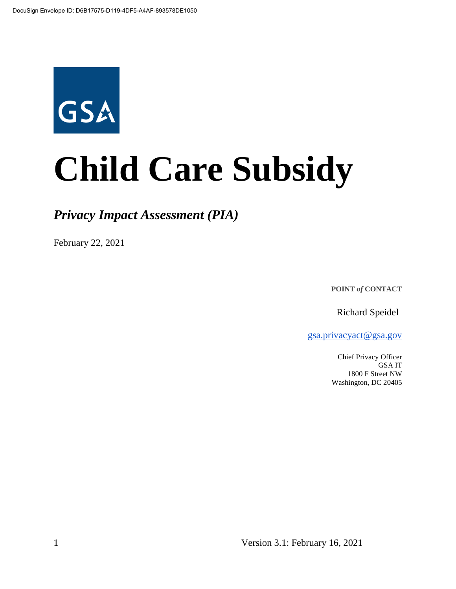

# **Child Care Subsidy**

## *Privacy Impact Assessment (PIA)*

February 22, 2021

**POINT** *of* **CONTACT**

Richard Speidel

gsa.privacyact@gsa.gov

Chief Privacy Officer GSA IT 1800 F Street NW Washington, DC 20405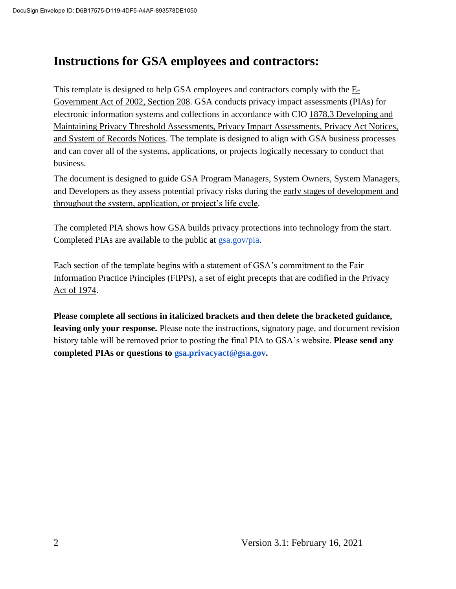## **Instructions for GSA employees and contractors:**

This template is designed to help GSA employees and contractors comply with the  $E$ -Government Act of 2002, Section 208. GSA conducts privacy impact assessments (PIAs) for electronic information systems and collections in accordance with CIO 1878.3 Developing and Maintaining Privacy Threshold Assessments, Privacy Impact Assessments, Privacy Act Notices, and System of Records Notices. The template is designed to align with GSA business processes and can cover all of the systems, applications, or projects logically necessary to conduct that business.

The document is designed to guide GSA Program Managers, System Owners, System Managers, and Developers as they assess potential privacy risks during the early stages of development and throughout the system, application, or project's life cycle.

The completed PIA shows how GSA builds privacy protections into technology from the start. Completed PIAs are available to the public at gsa.gov/pia.

Each section of the template begins with a statement of GSA's commitment to the Fair Information Practice Principles (FIPPs), a set of eight precepts that are codified in the Privacy Act of 1974.

**Please complete all sections in italicized brackets and then delete the bracketed guidance, leaving only your response.** Please note the instructions, signatory page, and document revision history table will be removed prior to posting the final PIA to GSA's website. **Please send any completed PIAs or questions to gsa.privacyact@gsa.gov.**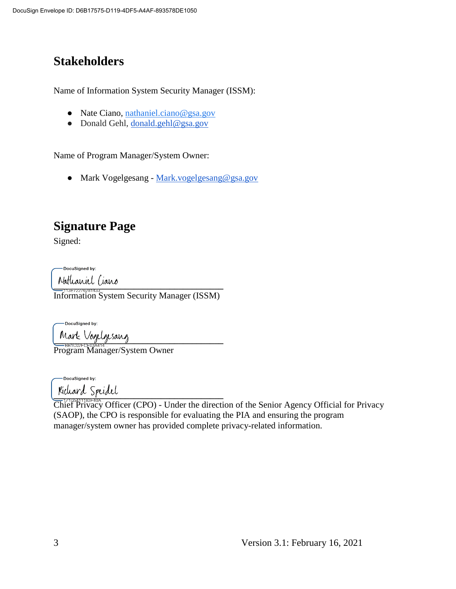# **Stakeholders**

Name of Information System Security Manager (ISSM):

- Nate Ciano, nathaniel.ciano@gsa.gov
- Donald Gehl, donald.gehl@gsa.gov

Name of Program Manager/System Owner:

● Mark Vogelgesang - Mark.vogelgesang@gsa.gov

## **Signature Page**

Signed:

-DocuSianed by:

 $\frac{1}{2}$ Information System Security Manager (ISSM)

-DocuSigned by:

 $\frac{1}{2}$ 

Program Manager/System Owner

-DocuSigned by:

 $\frac{1}{2}$ 

Chief Privacy Officer (CPO) - Under the direction of the Senior Agency Official for Privacy (SAOP), the CPO is responsible for evaluating the PIA and ensuring the program manager/system owner has provided complete privacy-related information.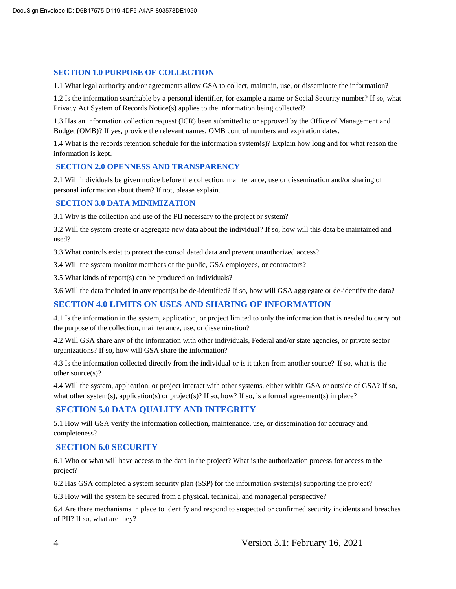#### **SECTION 1.0 PURPOSE OF COLLECTION**

1.1 What legal authority and/or agreements allow GSA to collect, maintain, use, or disseminate the information?

1.2 Is the information searchable by a personal identifier, for example a name or Social Security number? If so, what Privacy Act System of Records Notice(s) applies to the information being collected?

1.3 Has an information collection request (ICR) been submitted to or approved by the Office of Management and Budget (OMB)? If yes, provide the relevant names, OMB control numbers and expiration dates.

1.4 What is the records retention schedule for the information system(s)? Explain how long and for what reason the information is kept.

#### **SECTION 2.0 OPENNESS AND TRANSPARENCY**

2.1 Will individuals be given notice before the collection, maintenance, use or dissemination and/or sharing of personal information about them? If not, please explain.

#### **SECTION 3.0 DATA MINIMIZATION**

3.1 Why is the collection and use of the PII necessary to the project or system?

3.2 Will the system create or aggregate new data about the individual? If so, how will this data be maintained and used?

3.3 What controls exist to protect the consolidated data and prevent unauthorized access?

3.4 Will the system monitor members of the public, GSA employees, or contractors?

3.5 What kinds of report(s) can be produced on individuals?

3.6 Will the data included in any report(s) be de-identified? If so, how will GSA aggregate or de-identify the data?

#### **SECTION 4.0 LIMITS ON USES AND SHARING OF INFORMATION**

4.1 Is the information in the system, application, or project limited to only the information that is needed to carry out the purpose of the collection, maintenance, use, or dissemination?

4.2 Will GSA share any of the information with other individuals, Federal and/or state agencies, or private sector organizations? If so, how will GSA share the information?

4.3 Is the information collected directly from the individual or is it taken from another source? If so, what is the other source(s)?

4.4 Will the system, application, or project interact with other systems, either within GSA or outside of GSA? If so, what other system(s), application(s) or project(s)? If so, how? If so, is a formal agreement(s) in place?

#### **SECTION 5.0 DATA QUALITY AND INTEGRITY**

5.1 How will GSA verify the information collection, maintenance, use, or dissemination for accuracy and completeness?

#### **SECTION 6.0 SECURITY**

6.1 Who or what will have access to the data in the project? What is the authorization process for access to the project?

6.2 Has GSA completed a system security plan (SSP) for the information system(s) supporting the project?

6.3 How will the system be secured from a physical, technical, and managerial perspective?

6.4 Are there mechanisms in place to identify and respond to suspected or confirmed security incidents and breaches of PII? If so, what are they?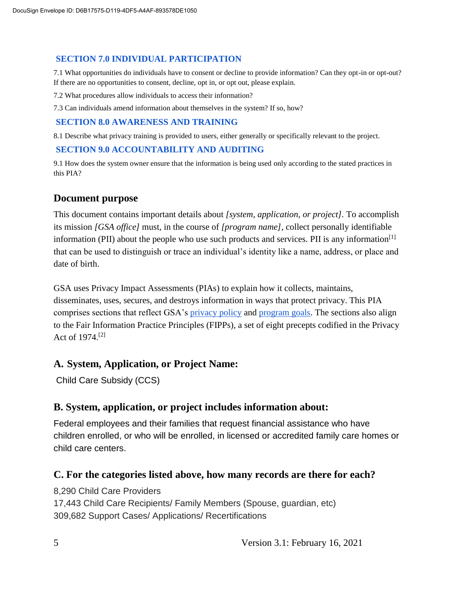#### **SECTION 7.0 INDIVIDUAL PARTICIPATION**

7.1 What opportunities do individuals have to consent or decline to provide information? Can they opt-in or opt-out? If there are no opportunities to consent, decline, opt in, or opt out, please explain.

7.2 What procedures allow individuals to access their information?

7.3 Can individuals amend information about themselves in the system? If so, how?

#### **SECTION 8.0 AWARENESS AND TRAINING**

8.1 Describe what privacy training is provided to users, either generally or specifically relevant to the project.

#### **SECTION 9.0 ACCOUNTABILITY AND AUDITING**

9.1 How does the system owner ensure that the information is being used only according to the stated practices in this PIA?

#### **Document purpose**

This document contains important details about *[system, application, or project].* To accomplish its mission *[GSA office]* must, in the course of *[program name]*, collect personally identifiable information (PII) about the people who use such products and services. PII is any information<sup>[1]</sup> that can be used to distinguish or trace an individual's identity like a name, address, or place and date of birth.

GSA uses Privacy Impact Assessments (PIAs) to explain how it collects, maintains, disseminates, uses, secures, and destroys information in ways that protect privacy. This PIA comprises sections that reflect GSA's privacy policy and program goals. The sections also align to the Fair Information Practice Principles (FIPPs), a set of eight precepts codified in the Privacy Act of 1974.[2]

#### **A. System, Application, or Project Name:**

Child Care Subsidy (CCS)

#### **B. System, application, or project includes information about:**

Federal employees and their families that request financial assistance who have children enrolled, or who will be enrolled, in licensed or accredited family care homes or child care centers.

#### **C. For the categories listed above, how many records are there for each?**

8,290 Child Care Providers 17,443 Child Care Recipients/ Family Members (Spouse, guardian, etc) 309,682 Support Cases/ Applications/ Recertifications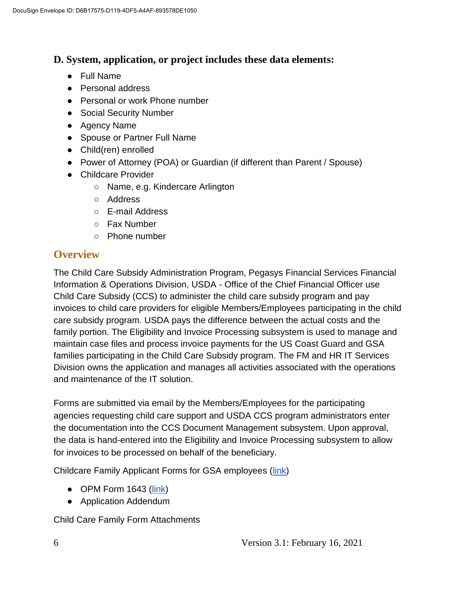#### **D. System, application, or project includes these data elements:**

- Full Name
- Personal address
- Personal or work Phone number
- Social Security Number
- Agency Name
- Spouse or Partner Full Name
- Child(ren) enrolled
- Power of Attorney (POA) or Guardian (if different than Parent / Spouse)
- Childcare Provider
	- Name, e.g. Kindercare Arlington
	- Address
	- E-mail Address
	- Fax Number
	- Phone number

#### **Overview**

The Child Care Subsidy Administration Program, Pegasys Financial Services Financial Information & Operations Division, USDA - Office of the Chief Financial Officer use Child Care Subsidy (CCS) to administer the child care subsidy program and pay invoices to child care providers for eligible Members/Employees participating in the child care subsidy program. USDA pays the difference between the actual costs and the family portion. The Eligibility and Invoice Processing subsystem is used to manage and maintain case files and process invoice payments for the US Coast Guard and GSA families participating in the Child Care Subsidy program. The FM and HR IT Services Division owns the application and manages all activities associated with the operations and maintenance of the IT solution.

Forms are submitted via email by the Members/Employees for the participating agencies requesting child care support and USDA CCS program administrators enter the documentation into the CCS Document Management subsystem. Upon approval, the data is hand-entered into the Eligibility and Invoice Processing subsystem to allow for invoices to be processed on behalf of the beneficiary.

Childcare Family Applicant Forms for GSA employees (link)

- $\bullet$  OPM Form 1643 (link)
- Application Addendum

Child Care Family Form Attachments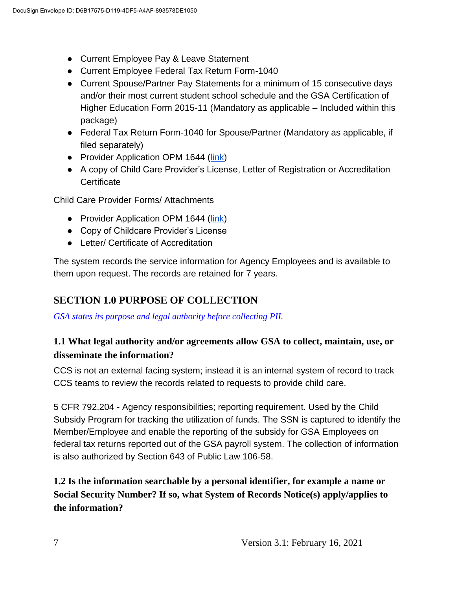- Current Employee Pay & Leave Statement
- Current Employee Federal Tax Return Form-1040
- Current Spouse/Partner Pay Statements for a minimum of 15 consecutive days and/or their most current student school schedule and the GSA Certification of Higher Education Form 2015-11 (Mandatory as applicable – Included within this package)
- Federal Tax Return Form-1040 for Spouse/Partner (Mandatory as applicable, if filed separately)
- Provider Application OPM 1644 (link)
- A copy of Child Care Provider's License, Letter of Registration or Accreditation **Certificate**

Child Care Provider Forms/ Attachments

- Provider Application OPM 1644 (link)
- Copy of Childcare Provider's License
- Letter/ Certificate of Accreditation

The system records the service information for Agency Employees and is available to them upon request. The records are retained for 7 years.

## **SECTION 1.0 PURPOSE OF COLLECTION**

*GSA states its purpose and legal authority before collecting PII.*

#### **1.1 What legal authority and/or agreements allow GSA to collect, maintain, use, or disseminate the information?**

CCS is not an external facing system; instead it is an internal system of record to track CCS teams to review the records related to requests to provide child care.

5 CFR 792.204 - Agency responsibilities; reporting requirement. Used by the Child Subsidy Program for tracking the utilization of funds. The SSN is captured to identify the Member/Employee and enable the reporting of the subsidy for GSA Employees on federal tax returns reported out of the GSA payroll system. The collection of information is also authorized by Section 643 of Public Law 106-58.

**1.2 Is the information searchable by a personal identifier, for example a name or Social Security Number? If so, what System of Records Notice(s) apply/applies to the information?**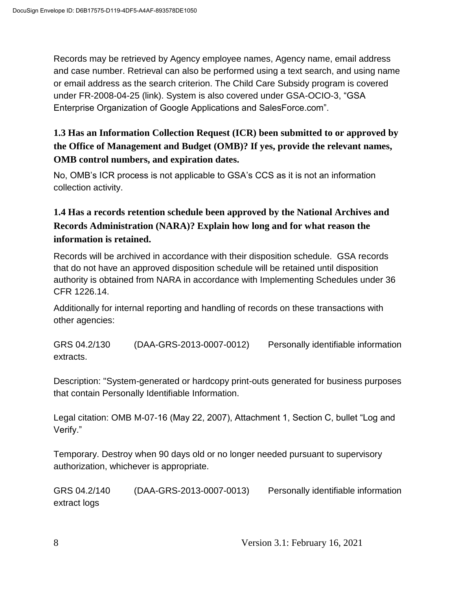Records may be retrieved by Agency employee names, Agency name, email address and case number. Retrieval can also be performed using a text search, and using name or email address as the search criterion. The Child Care Subsidy program is covered under FR-2008-04-25 (link). System is also covered under GSA-OCIO-3, "GSA Enterprise Organization of Google Applications and SalesForce.com".

## **1.3 Has an Information Collection Request (ICR) been submitted to or approved by the Office of Management and Budget (OMB)? If yes, provide the relevant names, OMB control numbers, and expiration dates.**

No, OMB's ICR process is not applicable to GSA's CCS as it is not an information collection activity.

## **1.4 Has a records retention schedule been approved by the National Archives and Records Administration (NARA)? Explain how long and for what reason the information is retained.**

Records will be archived in accordance with their disposition schedule. GSA records that do not have an approved disposition schedule will be retained until disposition authority is obtained from NARA in accordance with Implementing Schedules under 36 CFR 1226.14.

Additionally for internal reporting and handling of records on these transactions with other agencies:

GRS 04.2/130 (DAA-GRS-2013-0007-0012) Personally identifiable information extracts.

Description: "System-generated or hardcopy print-outs generated for business purposes that contain Personally Identifiable Information.

Legal citation: OMB M-07-16 (May 22, 2007), Attachment 1, Section C, bullet "Log and Verify."

Temporary. Destroy when 90 days old or no longer needed pursuant to supervisory authorization, whichever is appropriate.

GRS 04.2/140 (DAA-GRS-2013-0007-0013) Personally identifiable information extract logs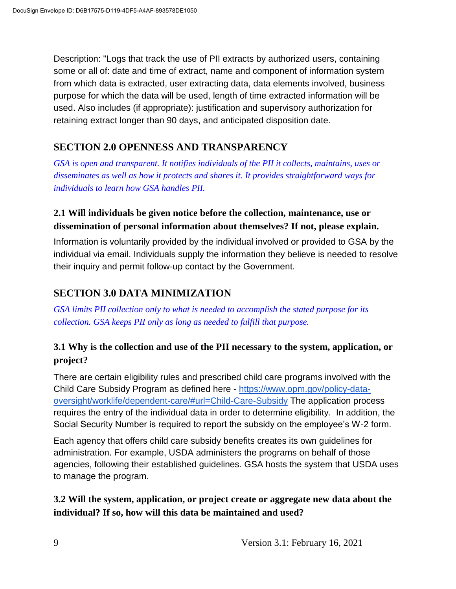Description: "Logs that track the use of PII extracts by authorized users, containing some or all of: date and time of extract, name and component of information system from which data is extracted, user extracting data, data elements involved, business purpose for which the data will be used, length of time extracted information will be used. Also includes (if appropriate): justification and supervisory authorization for retaining extract longer than 90 days, and anticipated disposition date.

## **SECTION 2.0 OPENNESS AND TRANSPARENCY**

*GSA is open and transparent. It notifies individuals of the PII it collects, maintains, uses or disseminates as well as how it protects and shares it. It provides straightforward ways for individuals to learn how GSA handles PII.*

#### **2.1 Will individuals be given notice before the collection, maintenance, use or dissemination of personal information about themselves? If not, please explain.**

Information is voluntarily provided by the individual involved or provided to GSA by the individual via email. Individuals supply the information they believe is needed to resolve their inquiry and permit follow-up contact by the Government.

## **SECTION 3.0 DATA MINIMIZATION**

*GSA limits PII collection only to what is needed to accomplish the stated purpose for its collection. GSA keeps PII only as long as needed to fulfill that purpose.*

#### **3.1 Why is the collection and use of the PII necessary to the system, application, or project?**

There are certain eligibility rules and prescribed child care programs involved with the Child Care Subsidy Program as defined here - https://www.opm.gov/policy-dataoversight/worklife/dependent-care/#url=Child-Care-Subsidy The application process requires the entry of the individual data in order to determine eligibility. In addition, the Social Security Number is required to report the subsidy on the employee's W-2 form.

Each agency that offers child care subsidy benefits creates its own guidelines for administration. For example, USDA administers the programs on behalf of those agencies, following their established guidelines. GSA hosts the system that USDA uses to manage the program.

**3.2 Will the system, application, or project create or aggregate new data about the individual? If so, how will this data be maintained and used?**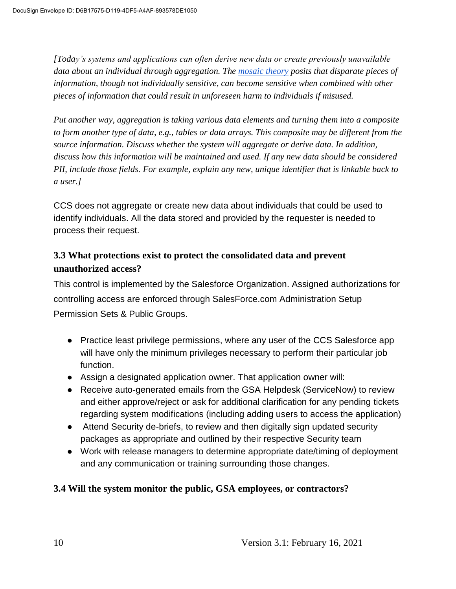*[Today's systems and applications can often derive new data or create previously unavailable data about an individual through aggregation. The mosaic theory posits that disparate pieces of information, though not individually sensitive, can become sensitive when combined with other pieces of information that could result in unforeseen harm to individuals if misused.*

*Put another way, aggregation is taking various data elements and turning them into a composite to form another type of data, e.g., tables or data arrays. This composite may be different from the source information. Discuss whether the system will aggregate or derive data. In addition, discuss how this information will be maintained and used. If any new data should be considered PII, include those fields. For example, explain any new, unique identifier that is linkable back to a user.]*

CCS does not aggregate or create new data about individuals that could be used to identify individuals. All the data stored and provided by the requester is needed to process their request.

#### **3.3 What protections exist to protect the consolidated data and prevent unauthorized access?**

This control is implemented by the Salesforce Organization. Assigned authorizations for controlling access are enforced through SalesForce.com Administration Setup Permission Sets & Public Groups.

- Practice least privilege permissions, where any user of the CCS Salesforce app will have only the minimum privileges necessary to perform their particular job function.
- Assign a designated application owner. That application owner will:
- Receive auto-generated emails from the GSA Helpdesk (ServiceNow) to review and either approve/reject or ask for additional clarification for any pending tickets regarding system modifications (including adding users to access the application)
- Attend Security de-briefs, to review and then digitally sign updated security packages as appropriate and outlined by their respective Security team
- Work with release managers to determine appropriate date/timing of deployment and any communication or training surrounding those changes.

#### **3.4 Will the system monitor the public, GSA employees, or contractors?**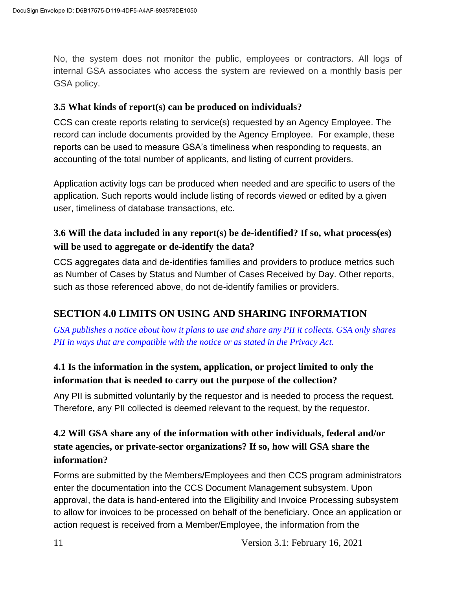No, the system does not monitor the public, employees or contractors. All logs of internal GSA associates who access the system are reviewed on a monthly basis per GSA policy.

#### **3.5 What kinds of report(s) can be produced on individuals?**

CCS can create reports relating to service(s) requested by an Agency Employee. The record can include documents provided by the Agency Employee. For example, these reports can be used to measure GSA's timeliness when responding to requests, an accounting of the total number of applicants, and listing of current providers.

Application activity logs can be produced when needed and are specific to users of the application. Such reports would include listing of records viewed or edited by a given user, timeliness of database transactions, etc.

#### **3.6 Will the data included in any report(s) be de-identified? If so, what process(es) will be used to aggregate or de-identify the data?**

CCS aggregates data and de-identifies families and providers to produce metrics such as Number of Cases by Status and Number of Cases Received by Day. Other reports, such as those referenced above, do not de-identify families or providers.

## **SECTION 4.0 LIMITS ON USING AND SHARING INFORMATION**

*GSA publishes a notice about how it plans to use and share any PII it collects. GSA only shares PII in ways that are compatible with the notice or as stated in the Privacy Act.*

## **4.1 Is the information in the system, application, or project limited to only the information that is needed to carry out the purpose of the collection?**

Any PII is submitted voluntarily by the requestor and is needed to process the request. Therefore, any PII collected is deemed relevant to the request, by the requestor.

## **4.2 Will GSA share any of the information with other individuals, federal and/or state agencies, or private-sector organizations? If so, how will GSA share the information?**

Forms are submitted by the Members/Employees and then CCS program administrators enter the documentation into the CCS Document Management subsystem. Upon approval, the data is hand-entered into the Eligibility and Invoice Processing subsystem to allow for invoices to be processed on behalf of the beneficiary. Once an application or action request is received from a Member/Employee, the information from the

11 Version 3.1: February 16, 2021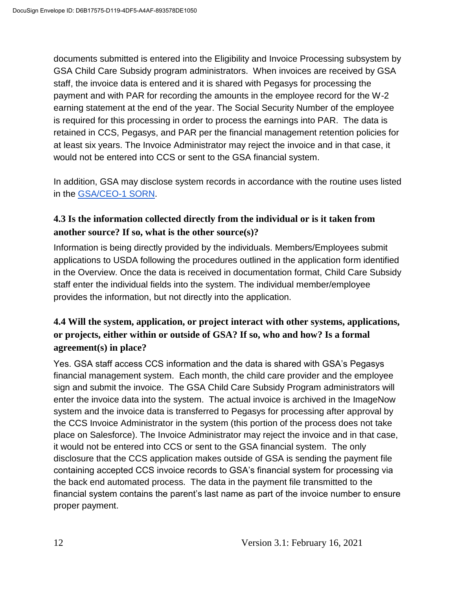documents submitted is entered into the Eligibility and Invoice Processing subsystem by GSA Child Care Subsidy program administrators. When invoices are received by GSA staff, the invoice data is entered and it is shared with Pegasys for processing the payment and with PAR for recording the amounts in the employee record for the W-2 earning statement at the end of the year. The Social Security Number of the employee is required for this processing in order to process the earnings into PAR. The data is retained in CCS, Pegasys, and PAR per the financial management retention policies for at least six years. The Invoice Administrator may reject the invoice and in that case, it would not be entered into CCS or sent to the GSA financial system.

In addition, GSA may disclose system records in accordance with the routine uses listed in the GSA/CEO-1 SORN.

#### **4.3 Is the information collected directly from the individual or is it taken from another source? If so, what is the other source(s)?**

Information is being directly provided by the individuals. Members/Employees submit applications to USDA following the procedures outlined in the application form identified in the Overview. Once the data is received in documentation format, Child Care Subsidy staff enter the individual fields into the system. The individual member/employee provides the information, but not directly into the application.

#### **4.4 Will the system, application, or project interact with other systems, applications, or projects, either within or outside of GSA? If so, who and how? Is a formal agreement(s) in place?**

Yes. GSA staff access CCS information and the data is shared with GSA's Pegasys financial management system. Each month, the child care provider and the employee sign and submit the invoice. The GSA Child Care Subsidy Program administrators will enter the invoice data into the system. The actual invoice is archived in the ImageNow system and the invoice data is transferred to Pegasys for processing after approval by the CCS Invoice Administrator in the system (this portion of the process does not take place on Salesforce). The Invoice Administrator may reject the invoice and in that case, it would not be entered into CCS or sent to the GSA financial system. The only disclosure that the CCS application makes outside of GSA is sending the payment file containing accepted CCS invoice records to GSA's financial system for processing via the back end automated process. The data in the payment file transmitted to the financial system contains the parent's last name as part of the invoice number to ensure proper payment.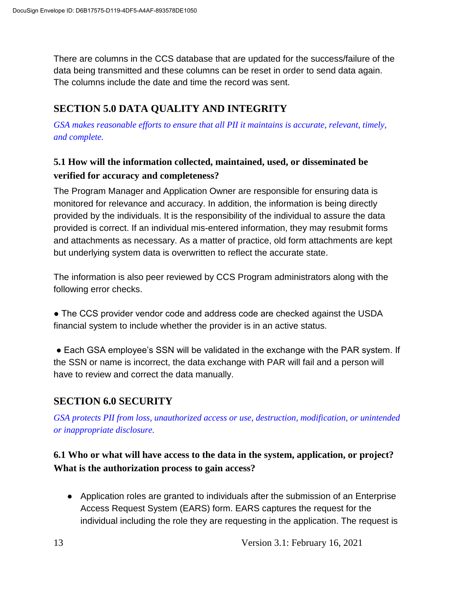There are columns in the CCS database that are updated for the success/failure of the data being transmitted and these columns can be reset in order to send data again. The columns include the date and time the record was sent.

## **SECTION 5.0 DATA QUALITY AND INTEGRITY**

*GSA makes reasonable efforts to ensure that all PII it maintains is accurate, relevant, timely, and complete.*

#### **5.1 How will the information collected, maintained, used, or disseminated be verified for accuracy and completeness?**

The Program Manager and Application Owner are responsible for ensuring data is monitored for relevance and accuracy. In addition, the information is being directly provided by the individuals. It is the responsibility of the individual to assure the data provided is correct. If an individual mis-entered information, they may resubmit forms and attachments as necessary. As a matter of practice, old form attachments are kept but underlying system data is overwritten to reflect the accurate state.

The information is also peer reviewed by CCS Program administrators along with the following error checks.

• The CCS provider vendor code and address code are checked against the USDA financial system to include whether the provider is in an active status.

■ Each GSA employee's SSN will be validated in the exchange with the PAR system. If the SSN or name is incorrect, the data exchange with PAR will fail and a person will have to review and correct the data manually.

## **SECTION 6.0 SECURITY**

*GSA protects PII from loss, unauthorized access or use, destruction, modification, or unintended or inappropriate disclosure.*

## **6.1 Who or what will have access to the data in the system, application, or project? What is the authorization process to gain access?**

● Application roles are granted to individuals after the submission of an Enterprise Access Request System (EARS) form. EARS captures the request for the individual including the role they are requesting in the application. The request is

13 Version 3.1: February 16, 2021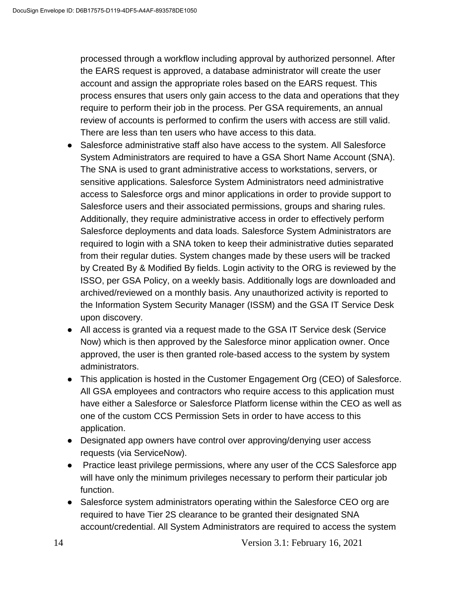processed through a workflow including approval by authorized personnel. After the EARS request is approved, a database administrator will create the user account and assign the appropriate roles based on the EARS request. This process ensures that users only gain access to the data and operations that they require to perform their job in the process. Per GSA requirements, an annual review of accounts is performed to confirm the users with access are still valid. There are less than ten users who have access to this data.

- Salesforce administrative staff also have access to the system. All Salesforce System Administrators are required to have a GSA Short Name Account (SNA). The SNA is used to grant administrative access to workstations, servers, or sensitive applications. Salesforce System Administrators need administrative access to Salesforce orgs and minor applications in order to provide support to Salesforce users and their associated permissions, groups and sharing rules. Additionally, they require administrative access in order to effectively perform Salesforce deployments and data loads. Salesforce System Administrators are required to login with a SNA token to keep their administrative duties separated from their regular duties. System changes made by these users will be tracked by Created By & Modified By fields. Login activity to the ORG is reviewed by the ISSO, per GSA Policy, on a weekly basis. Additionally logs are downloaded and archived/reviewed on a monthly basis. Any unauthorized activity is reported to the Information System Security Manager (ISSM) and the GSA IT Service Desk upon discovery.
- All access is granted via a request made to the GSA IT Service desk (Service Now) which is then approved by the Salesforce minor application owner. Once approved, the user is then granted role-based access to the system by system administrators.
- This application is hosted in the Customer Engagement Org (CEO) of Salesforce. All GSA employees and contractors who require access to this application must have either a Salesforce or Salesforce Platform license within the CEO as well as one of the custom CCS Permission Sets in order to have access to this application.
- Designated app owners have control over approving/denying user access requests (via ServiceNow).
- Practice least privilege permissions, where any user of the CCS Salesforce app will have only the minimum privileges necessary to perform their particular job function.
- Salesforce system administrators operating within the Salesforce CEO org are required to have Tier 2S clearance to be granted their designated SNA account/credential. All System Administrators are required to access the system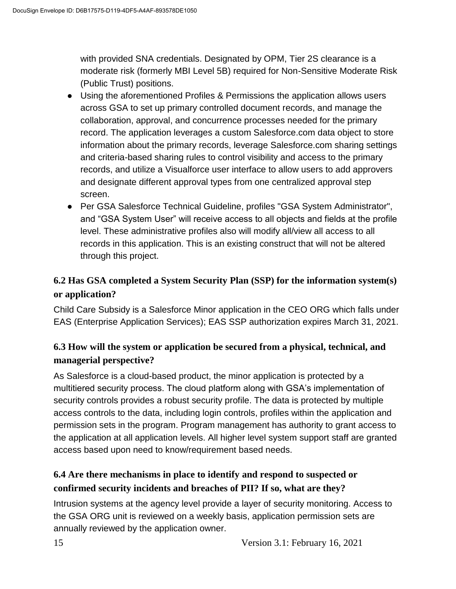with provided SNA credentials. Designated by OPM, Tier 2S clearance is a moderate risk (formerly MBI Level 5B) required for Non-Sensitive Moderate Risk (Public Trust) positions.

- Using the aforementioned Profiles & Permissions the application allows users across GSA to set up primary controlled document records, and manage the collaboration, approval, and concurrence processes needed for the primary record. The application leverages a custom Salesforce.com data object to store information about the primary records, leverage Salesforce.com sharing settings and criteria-based sharing rules to control visibility and access to the primary records, and utilize a Visualforce user interface to allow users to add approvers and designate different approval types from one centralized approval step screen.
- Per GSA Salesforce Technical Guideline, profiles "GSA System Administrator", and "GSA System User" will receive access to all objects and fields at the profile level. These administrative profiles also will modify all/view all access to all records in this application. This is an existing construct that will not be altered through this project.

## **6.2 Has GSA completed a System Security Plan (SSP) for the information system(s) or application?**

Child Care Subsidy is a Salesforce Minor application in the CEO ORG which falls under EAS (Enterprise Application Services); EAS SSP authorization expires March 31, 2021.

## **6.3 How will the system or application be secured from a physical, technical, and managerial perspective?**

As Salesforce is a cloud-based product, the minor application is protected by a multitiered security process. The cloud platform along with GSA's implementation of security controls provides a robust security profile. The data is protected by multiple access controls to the data, including login controls, profiles within the application and permission sets in the program. Program management has authority to grant access to the application at all application levels. All higher level system support staff are granted access based upon need to know/requirement based needs.

## **6.4 Are there mechanisms in place to identify and respond to suspected or confirmed security incidents and breaches of PII? If so, what are they?**

Intrusion systems at the agency level provide a layer of security monitoring. Access to the GSA ORG unit is reviewed on a weekly basis, application permission sets are annually reviewed by the application owner.

15 Version 3.1: February 16, 2021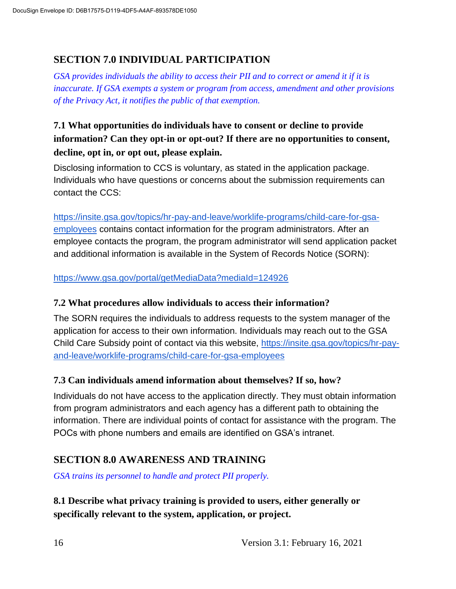#### **SECTION 7.0 INDIVIDUAL PARTICIPATION**

*GSA provides individuals the ability to access their PII and to correct or amend it if it is inaccurate. If GSA exempts a system or program from access, amendment and other provisions of the Privacy Act, it notifies the public of that exemption.*

## **7.1 What opportunities do individuals have to consent or decline to provide information? Can they opt-in or opt-out? If there are no opportunities to consent, decline, opt in, or opt out, please explain.**

Disclosing information to CCS is voluntary, as stated in the application package. Individuals who have questions or concerns about the submission requirements can contact the CCS:

https://insite.gsa.gov/topics/hr-pay-and-leave/worklife-programs/child-care-for-gsaemployees contains contact information for the program administrators. After an employee contacts the program, the program administrator will send application packet and additional information is available in the System of Records Notice (SORN):

https://www.gsa.gov/portal/getMediaData?mediaId=124926

#### **7.2 What procedures allow individuals to access their information?**

The SORN requires the individuals to address requests to the system manager of the application for access to their own information. Individuals may reach out to the GSA Child Care Subsidy point of contact via this website, https://insite.gsa.gov/topics/hr-payand-leave/worklife-programs/child-care-for-gsa-employees

#### **7.3 Can individuals amend information about themselves? If so, how?**

Individuals do not have access to the application directly. They must obtain information from program administrators and each agency has a different path to obtaining the information. There are individual points of contact for assistance with the program. The POCs with phone numbers and emails are identified on GSA's intranet.

#### **SECTION 8.0 AWARENESS AND TRAINING**

*GSA trains its personnel to handle and protect PII properly.*

**8.1 Describe what privacy training is provided to users, either generally or specifically relevant to the system, application, or project.**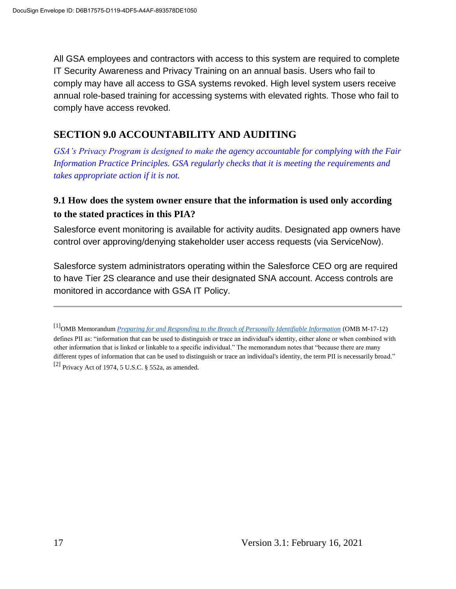All GSA employees and contractors with access to this system are required to complete IT Security Awareness and Privacy Training on an annual basis. Users who fail to comply may have all access to GSA systems revoked. High level system users receive annual role-based training for accessing systems with elevated rights. Those who fail to comply have access revoked.

#### **SECTION 9.0 ACCOUNTABILITY AND AUDITING**

*GSA's Privacy Program is designed to make the agency accountable for complying with the Fair Information Practice Principles. GSA regularly checks that it is meeting the requirements and takes appropriate action if it is not.*

#### **9.1 How does the system owner ensure that the information is used only according to the stated practices in this PIA?**

Salesforce event monitoring is available for activity audits. Designated app owners have control over approving/denying stakeholder user access requests (via ServiceNow).

Salesforce system administrators operating within the Salesforce CEO org are required to have Tier 2S clearance and use their designated SNA account. Access controls are monitored in accordance with GSA IT Policy.

<sup>[1]</sup>OMB Memorandum *Preparing for and Responding to the Breach of Personally Identifiable Information* (OMB M-17-12) defines PII as: "information that can be used to distinguish or trace an individual's identity, either alone or when combined with other information that is linked or linkable to a specific individual." The memorandum notes that "because there are many different types of information that can be used to distinguish or trace an individual's identity, the term PII is necessarily broad." [2] Privacy Act of 1974, 5 U.S.C.  $\S$  552a, as amended.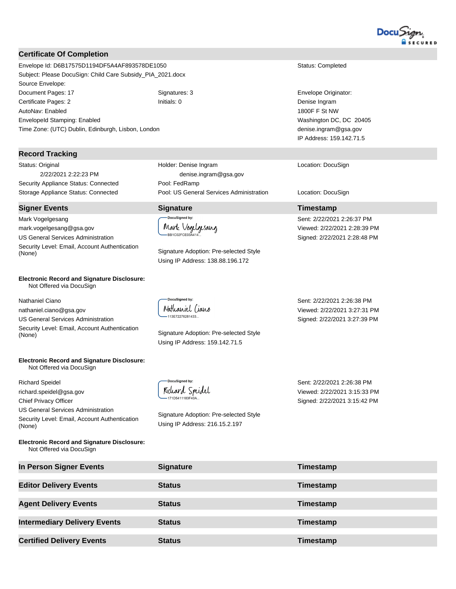

#### **Certificate Of Completion**

Envelope Id: D6B17575D1194DF5A4AF893578DE1050 Status: Completed Subject: Please DocuSign: Child Care Subsidy\_PIA\_2021.docx Source Envelope: Document Pages: 17 **Signatures: 3** Signatures: 3 **Envelope Originator: Envelope Originator:** Certificate Pages: 2 Initials: 0 Denise Ingram AutoNav: Enabled EnvelopeId Stamping: Enabled Time Zone: (UTC) Dublin, Edinburgh, Lisbon, London

#### **Record Tracking**

Status: Original 2/22/2021 2:22:23 PM Security Appliance Status: Connected Pool: FedRamp

#### **Signer Events Signature Timestamp**

Mark Vogelgesang mark.vogelgesang@gsa.gov US General Services Administration Security Level: Email, Account Authentication Signature Adoption: Pre-selected Style (None)

#### **Electronic Record and Signature Disclosure:**  Not Offered via DocuSign

Nathaniel Ciano

nathaniel.ciano@gsa.gov US General Services Administration Security Level: Email, Account Authentication

#### **Electronic Record and Signature Disclosure:**  Not Offered via DocuSign

Richard Speidel richard.speidel@gsa.gov Chief Privacy Officer US General Services Administration Security Level: Email, Account Authentication (None)

**Electronic Record and Signature Disclosure:**  Not Offered via DocuSign

Holder: Denise Ingram denise.ingram@gsa.gov Storage Appliance Status: Connected Pool: US General Services Administration Location: DocuSign

.<br>DocuSigned by: Mark Vogelgesang

Using IP Address: 138.88.196.172

**DocuSianed by:** Nathaniel Ciano 113E72276281433..

Signature Adoption: Pre-selected Style (None) Using IP Address: 159.142.71.5

Viewed: 2/22/2021 3:27:31 PM Signed: 2/22/2021 3:27:39 PM

Sent: 2/22/2021 2:26:38 PM

Sent: 2/22/2021 2:26:38 PM Viewed: 2/22/2021 3:15:33 PM Signed: 2/22/2021 3:15:42 PM

| Status: Complete |  |
|------------------|--|
|                  |  |

1800F F St NW Washington DC, DC 20405 denise.ingram@gsa.gov IP Address: 159.142.71.5

Location: DocuSign

Sent: 2/22/2021 2:26:37 PM Viewed: 2/22/2021 2:28:39 PM Signed: 2/22/2021 2:28:48 PM

DocuSigned b Richard Spridel

Signature Adoption: Pre-selected Style Using IP Address: 216.15.2.197

**In Person Signer Events Signature Timestamp Editor Delivery Events Status Timestamp Agent Delivery Events Status Timestamp Intermediary Delivery Events Status Timestamp Certified Delivery Events Status Certified Delivery Events Timestamp**